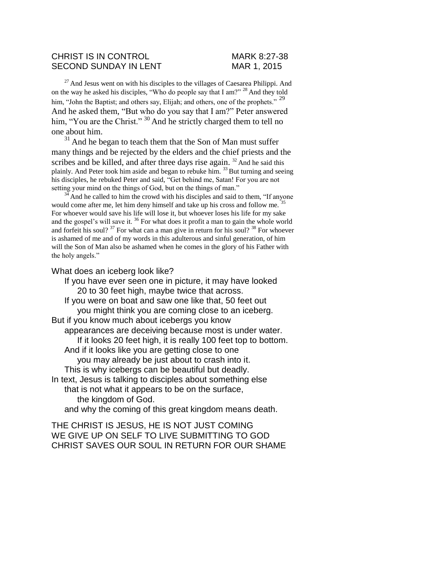## CHRIST IS IN CONTROL MARK 8:27-38 SECOND SUNDAY IN LENT MAR 1, 2015

<sup>27</sup> And Jesus went on with his disciples to the villages of Caesarea Philippi. And on the way he asked his disciples, "Who do people say that I am?"  $^{28}$  And they told him, "John the Baptist; and others say, Elijah; and others, one of the prophets." <sup>29</sup> And he asked them, "But who do you say that I am?" Peter answered him, "You are the Christ." <sup>30</sup> And he strictly charged them to tell no one about him.

 $31$  And he began to teach them that the Son of Man must suffer many things and be rejected by the elders and the chief priests and the scribes and be killed, and after three days rise again.  $32$  And he said this plainly. And Peter took him aside and began to rebuke him.  $33$  But turning and seeing his disciples, he rebuked Peter and said, "Get behind me, Satan! For you are not setting your mind on the things of God, but on the things of man."

 $34$  And he called to him the crowd with his disciples and said to them, "If anyone would come after me, let him deny himself and take up his cross and follow me.<sup>35</sup> For whoever would save his life will lose it, but whoever loses his life for my sake and the gospel's will save it.  $36$  For what does it profit a man to gain the whole world and forfeit his soul?  $37$  For what can a man give in return for his soul?  $38$  For whoever is ashamed of me and of my words in this adulterous and sinful generation, of him will the Son of Man also be ashamed when he comes in the glory of his Father with the holy angels."

What does an iceberg look like?

If you have ever seen one in picture, it may have looked 20 to 30 feet high, maybe twice that across. If you were on boat and saw one like that, 50 feet out you might think you are coming close to an iceberg. But if you know much about icebergs you know appearances are deceiving because most is under water. If it looks 20 feet high, it is really 100 feet top to bottom. And if it looks like you are getting close to one you may already be just about to crash into it. This is why icebergs can be beautiful but deadly. In text, Jesus is talking to disciples about something else that is not what it appears to be on the surface, the kingdom of God. and why the coming of this great kingdom means death. THE CHRIST IS JESUS, HE IS NOT JUST COMING

WE GIVE UP ON SELF TO LIVE SUBMITTING TO GOD CHRIST SAVES OUR SOUL IN RETURN FOR OUR SHAME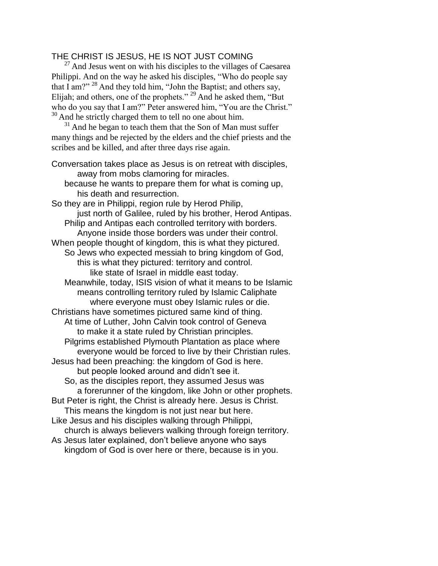## THE CHRIST IS JESUS, HE IS NOT JUST COMING

 $27$  And Jesus went on with his disciples to the villages of Caesarea Philippi. And on the way he asked his disciples, "Who do people say that I am?"  $^{28}$  And they told him, "John the Baptist; and others say, Elijah; and others, one of the prophets."  $^{29}$  And he asked them, "But who do you say that I am?" Peter answered him, "You are the Christ." <sup>30</sup> And he strictly charged them to tell no one about him.

 $31$  And he began to teach them that the Son of Man must suffer many things and be rejected by the elders and the chief priests and the scribes and be killed, and after three days rise again.

Conversation takes place as Jesus is on retreat with disciples, away from mobs clamoring for miracles. because he wants to prepare them for what is coming up, his death and resurrection. So they are in Philippi, region rule by Herod Philip, just north of Galilee, ruled by his brother, Herod Antipas. Philip and Antipas each controlled territory with borders. Anyone inside those borders was under their control. When people thought of kingdom, this is what they pictured. So Jews who expected messiah to bring kingdom of God, this is what they pictured: territory and control. like state of Israel in middle east today. Meanwhile, today, ISIS vision of what it means to be Islamic means controlling territory ruled by Islamic Caliphate where everyone must obey Islamic rules or die. Christians have sometimes pictured same kind of thing. At time of Luther, John Calvin took control of Geneva to make it a state ruled by Christian principles. Pilgrims established Plymouth Plantation as place where everyone would be forced to live by their Christian rules. Jesus had been preaching: the kingdom of God is here. but people looked around and didn't see it. So, as the disciples report, they assumed Jesus was a forerunner of the kingdom, like John or other prophets. But Peter is right, the Christ is already here. Jesus is Christ. This means the kingdom is not just near but here. Like Jesus and his disciples walking through Philippi, church is always believers walking through foreign territory. As Jesus later explained, don't believe anyone who says kingdom of God is over here or there, because is in you.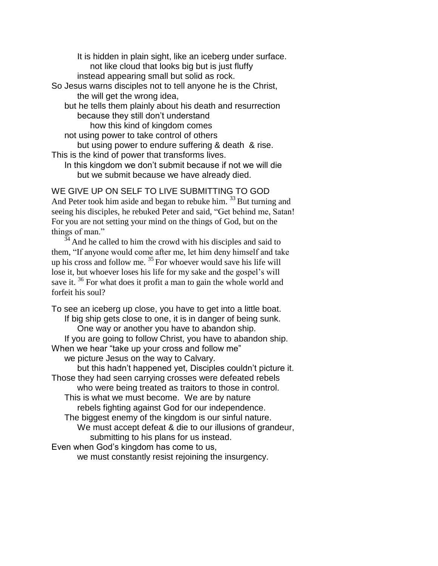It is hidden in plain sight, like an iceberg under surface. not like cloud that looks big but is just fluffy instead appearing small but solid as rock. So Jesus warns disciples not to tell anyone he is the Christ, the will get the wrong idea, but he tells them plainly about his death and resurrection because they still don't understand how this kind of kingdom comes not using power to take control of others but using power to endure suffering & death & rise. This is the kind of power that transforms lives.

In this kingdom we don't submit because if not we will die but we submit because we have already died.

WE GIVE UP ON SELF TO LIVE SUBMITTING TO GOD And Peter took him aside and began to rebuke him.  $33$  But turning and seeing his disciples, he rebuked Peter and said, "Get behind me, Satan! For you are not setting your mind on the things of God, but on the things of man."

 $\frac{3}{4}$  And he called to him the crowd with his disciples and said to them, "If anyone would come after me, let him deny himself and take up his cross and follow me.  $35$  For whoever would save his life will lose it, but whoever loses his life for my sake and the gospel's will save it.<sup>36</sup> For what does it profit a man to gain the whole world and forfeit his soul?

To see an iceberg up close, you have to get into a little boat. If big ship gets close to one, it is in danger of being sunk. One way or another you have to abandon ship. If you are going to follow Christ, you have to abandon ship. When we hear "take up your cross and follow me" we picture Jesus on the way to Calvary.

but this hadn't happened yet, Disciples couldn't picture it. Those they had seen carrying crosses were defeated rebels who were being treated as traitors to those in control. This is what we must become. We are by nature

rebels fighting against God for our independence. The biggest enemy of the kingdom is our sinful nature. We must accept defeat & die to our illusions of grandeur, submitting to his plans for us instead.

Even when God's kingdom has come to us,

we must constantly resist rejoining the insurgency.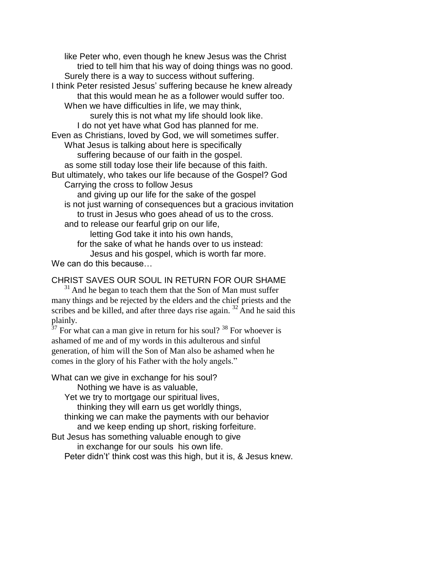like Peter who, even though he knew Jesus was the Christ tried to tell him that his way of doing things was no good. Surely there is a way to success without suffering. I think Peter resisted Jesus' suffering because he knew already that this would mean he as a follower would suffer too. When we have difficulties in life, we may think, surely this is not what my life should look like. I do not yet have what God has planned for me. Even as Christians, loved by God, we will sometimes suffer. What Jesus is talking about here is specifically suffering because of our faith in the gospel. as some still today lose their life because of this faith. But ultimately, who takes our life because of the Gospel? God Carrying the cross to follow Jesus and giving up our life for the sake of the gospel is not just warning of consequences but a gracious invitation to trust in Jesus who goes ahead of us to the cross. and to release our fearful grip on our life, letting God take it into his own hands, for the sake of what he hands over to us instead:

Jesus and his gospel, which is worth far more.

We can do this because...

CHRIST SAVES OUR SOUL IN RETURN FOR OUR SHAME

 $31$  And he began to teach them that the Son of Man must suffer many things and be rejected by the elders and the chief priests and the scribes and be killed, and after three days rise again.  $32$  And he said this plainly.

 $37$  For what can a man give in return for his soul?  $38$  For whoever is ashamed of me and of my words in this adulterous and sinful generation, of him will the Son of Man also be ashamed when he comes in the glory of his Father with the holy angels."

What can we give in exchange for his soul? Nothing we have is as valuable,

Yet we try to mortgage our spiritual lives,

thinking they will earn us get worldly things,

thinking we can make the payments with our behavior

and we keep ending up short, risking forfeiture.

But Jesus has something valuable enough to give

in exchange for our souls his own life.

Peter didn't' think cost was this high, but it is, & Jesus knew.